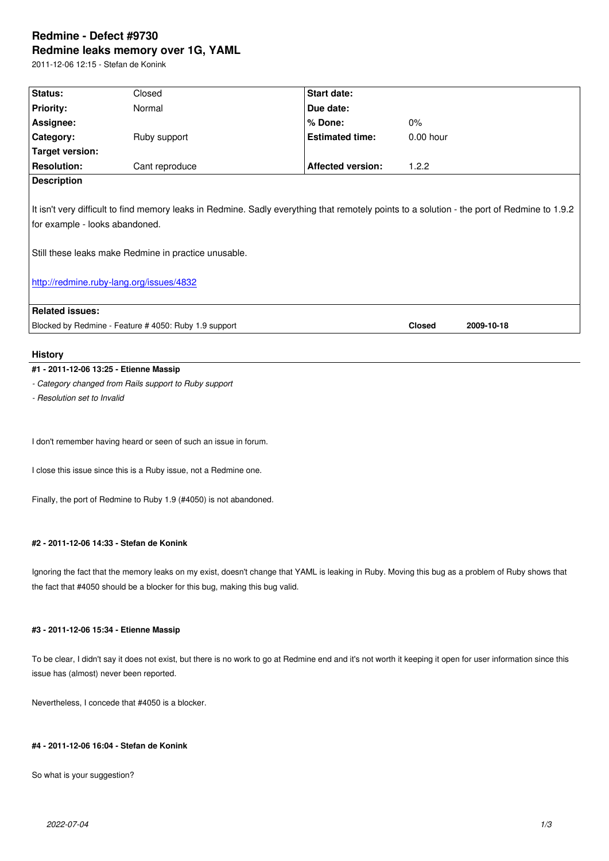#### **Redmine leaks memory over 1G, YAML**

2011-12-06 12:15 - Stefan de Konink

| Status:                                                                                                                                                                                                                                                                           | Closed         | <b>Start date:</b>       |             |            |
|-----------------------------------------------------------------------------------------------------------------------------------------------------------------------------------------------------------------------------------------------------------------------------------|----------------|--------------------------|-------------|------------|
| <b>Priority:</b>                                                                                                                                                                                                                                                                  | Normal         | Due date:                |             |            |
| Assignee:                                                                                                                                                                                                                                                                         |                | $%$ Done:                | $0\%$       |            |
| Category:                                                                                                                                                                                                                                                                         | Ruby support   | <b>Estimated time:</b>   | $0.00$ hour |            |
| <b>Target version:</b>                                                                                                                                                                                                                                                            |                |                          |             |            |
| <b>Resolution:</b>                                                                                                                                                                                                                                                                | Cant reproduce | <b>Affected version:</b> | 1.2.2       |            |
| <b>Description</b>                                                                                                                                                                                                                                                                |                |                          |             |            |
| It isn't very difficult to find memory leaks in Redmine. Sadly everything that remotely points to a solution - the port of Redmine to 1.9.2<br>for example - looks abandoned.<br>Still these leaks make Redmine in practice unusable.<br>http://redmine.ruby-lang.org/issues/4832 |                |                          |             |            |
| <b>Related issues:</b>                                                                                                                                                                                                                                                            |                |                          |             |            |
| Blocked by Redmine - Feature #4050: Ruby 1.9 support                                                                                                                                                                                                                              |                |                          |             | 2009-10-18 |
|                                                                                                                                                                                                                                                                                   |                |                          |             |            |

# **History**

# **#1 - 2011-12-06 13:25 - Etienne Massip**

*- Category changed from Rails support to Ruby support*

*- Resolution set to Invalid*

I don't remember having heard or seen of such an issue in forum.

I close this issue since this is a Ruby issue, not a Redmine one.

Finally, the port of Redmine to Ruby 1.9 (#4050) is not abandoned.

## **#2 - 2011-12-06 14:33 - Stefan de Konink**

Ignoring the fact that the memory leaks on my exist, doesn't change that YAML is leaking in Ruby. Moving this bug as a problem of Ruby shows that the fact that #4050 should be a blocker for this bug, making this bug valid.

# **#3 - 2011-12-06 15:34 - Etienne Massip**

To be clear, I didn't say it does not exist, but there is no work to go at Redmine end and it's not worth it keeping it open for user information since this issue has (almost) never been reported.

Nevertheless, I concede that #4050 is a blocker.

# **#4 - 2011-12-06 16:04 - Stefan de Konink**

So what is your suggestion?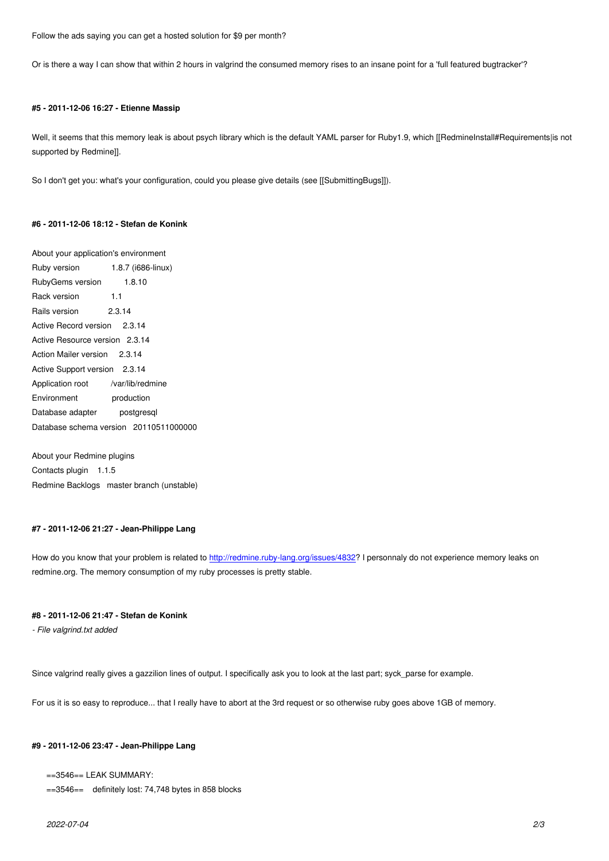Or is there a way I can show that within 2 hours in valgrind the consumed memory rises to an insane point for a 'full featured bugtracker'?

### **#5 - 2011-12-06 16:27 - Etienne Massip**

Well, it seems that this memory leak is about psych library which is the default YAML parser for Ruby1.9, which [[RedmineInstall#Requirements|is not supported by Redmine]].

So I don't get you: what's your configuration, could you please give details (see [[SubmittingBugs]]).

### **#6 - 2011-12-06 18:12 - Stefan de Konink**

About your application's environment Ruby version 1.8.7 (i686-linux) RubyGems version 1.8.10 Rack version 1.1 Rails version 2.3.14 Active Record version 2.3.14 Active Resource version 2.3.14 Action Mailer version 2.3.14 Active Support version 2.3.14 Application root /var/lib/redmine Environment production Database adapter postgresql Database schema version 20110511000000

About your Redmine plugins Contacts plugin 1.1.5 Redmine Backlogs master branch (unstable)

#### **#7 - 2011-12-06 21:27 - Jean-Philippe Lang**

How do you know that your problem is related to http://redmine.ruby-lang.org/issues/4832? I personnaly do not experience memory leaks on redmine.org. The memory consumption of my ruby processes is pretty stable.

### **#8 - 2011-12-06 21:47 - Stefan de Konink**

*- File valgrind.txt added*

Since valgrind really gives a gazzilion lines of output. I specifically ask you to look at the last part; syck\_parse for example.

For us it is so easy to reproduce... that I really have to abort at the 3rd request or so otherwise ruby goes above 1GB of memory.

### **#9 - 2011-12-06 23:47 - Jean-Philippe Lang**

```
==3546== LEAK SUMMARY:
```
==3546== definitely lost: 74,748 bytes in 858 blocks